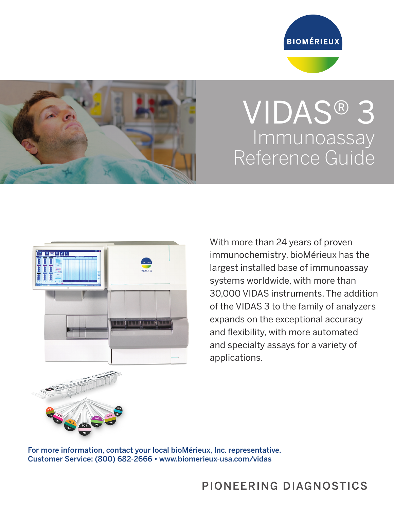



## VIDAS® 3 **Immunoassay** Reference Guide



With more than 24 years of proven immunochemistry, bioMérieux has the largest installed base of immunoassay systems worldwide, with more than 30,000 VIDAS instruments. The addition of the VIDAS 3 to the family of analyzers expands on the exceptional accuracy and flexibility, with more automated and specialty assays for a variety of applications.

For more information, contact your local bioMérieux, Inc. representative. Customer Service: (800) 682-2666 • www.biomerieux-usa.com/vidas

## PIONEERING DIAGNOSTICS